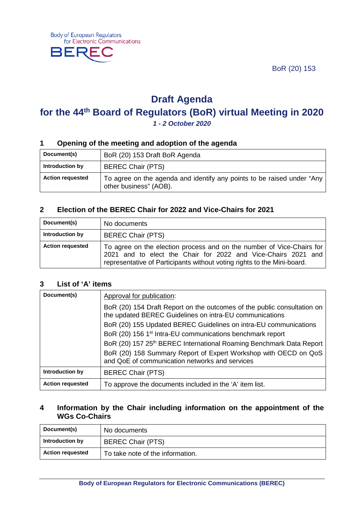BoR (20) 153



# **Draft Agenda**

# **for the 44th Board of Regulators (BoR) virtual Meeting in 2020**

*1 - 2 October 2020*

## **1 Opening of the meeting and adoption of the agenda**

| Document(s)             | BoR (20) 153 Draft BoR Agenda                                                                    |
|-------------------------|--------------------------------------------------------------------------------------------------|
| Introduction by         | <b>BEREC Chair (PTS)</b>                                                                         |
| <b>Action requested</b> | To agree on the agenda and identify any points to be raised under "Any<br>other business" (AOB). |

## **2 Election of the BEREC Chair for 2022 and Vice-Chairs for 2021**

| Document(s)             | No documents                                                                                                                                                                                                      |
|-------------------------|-------------------------------------------------------------------------------------------------------------------------------------------------------------------------------------------------------------------|
| Introduction by         | <b>BEREC Chair (PTS)</b>                                                                                                                                                                                          |
| <b>Action requested</b> | To agree on the election process and on the number of Vice-Chairs for<br>2021 and to elect the Chair for 2022 and Vice-Chairs 2021 and<br>representative of Participants without voting rights to the Mini-board. |

#### **3 List of 'A' items**

| Document(s)             | Approval for publication:                                                                                                          |
|-------------------------|------------------------------------------------------------------------------------------------------------------------------------|
|                         | BoR (20) 154 Draft Report on the outcomes of the public consultation on<br>the updated BEREC Guidelines on intra-EU communications |
|                         | BoR (20) 155 Updated BEREC Guidelines on intra-EU communications                                                                   |
|                         | BoR (20) 156 1 <sup>st</sup> Intra-EU communications benchmark report                                                              |
|                         | BoR (20) 157 25 <sup>th</sup> BEREC International Roaming Benchmark Data Report                                                    |
|                         | BoR (20) 158 Summary Report of Expert Workshop with OECD on QoS<br>and QoE of communication networks and services                  |
| Introduction by         | <b>BEREC Chair (PTS)</b>                                                                                                           |
| <b>Action requested</b> | To approve the documents included in the 'A' item list.                                                                            |

## **4 Information by the Chair including information on the appointment of the WGs Co-Chairs**

| Document(s)             | No documents                     |
|-------------------------|----------------------------------|
| Introduction by         | <b>BEREC Chair (PTS)</b>         |
| <b>Action requested</b> | To take note of the information. |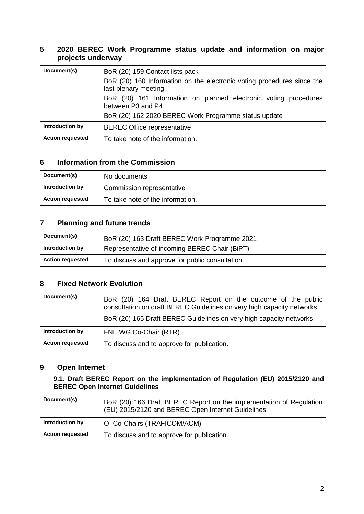# **5 2020 BEREC Work Programme status update and information on major projects underway**

| Document(s)             | BoR (20) 159 Contact lists pack<br>BoR (20) 160 Information on the electronic voting procedures since the<br>last plenary meeting             |
|-------------------------|-----------------------------------------------------------------------------------------------------------------------------------------------|
|                         | BoR (20) 161 Information on planned electronic voting procedures<br>between P3 and P4<br>BoR (20) 162 2020 BEREC Work Programme status update |
| Introduction by         | <b>BEREC Office representative</b>                                                                                                            |
| <b>Action requested</b> | To take note of the information.                                                                                                              |

# **6 Information from the Commission**

| Document(s)             | No documents                     |
|-------------------------|----------------------------------|
| Introduction by         | Commission representative        |
| <b>Action requested</b> | To take note of the information. |

## **7 Planning and future trends**

| Document(s)             | BoR (20) 163 Draft BEREC Work Programme 2021    |
|-------------------------|-------------------------------------------------|
| Introduction by         | Representative of incoming BEREC Chair (BiPT)   |
| <b>Action requested</b> | To discuss and approve for public consultation. |

# **8 Fixed Network Evolution**

| Document(s)             | BoR (20) 164 Draft BEREC Report on the outcome of the public<br>consultation on draft BEREC Guidelines on very high capacity networks<br>BoR (20) 165 Draft BEREC Guidelines on very high capacity networks |
|-------------------------|-------------------------------------------------------------------------------------------------------------------------------------------------------------------------------------------------------------|
| Introduction by         | FNE WG Co-Chair (RTR)                                                                                                                                                                                       |
| <b>Action requested</b> | To discuss and to approve for publication.                                                                                                                                                                  |

## **9 Open Internet**

## **9.1. Draft BEREC Report on the implementation of Regulation (EU) 2015/2120 and BEREC Open Internet Guidelines**

| Document(s)             | BoR (20) 166 Draft BEREC Report on the implementation of Regulation<br>(EU) 2015/2120 and BEREC Open Internet Guidelines |
|-------------------------|--------------------------------------------------------------------------------------------------------------------------|
| Introduction by         | OI Co-Chairs (TRAFICOM/ACM)                                                                                              |
| <b>Action requested</b> | To discuss and to approve for publication.                                                                               |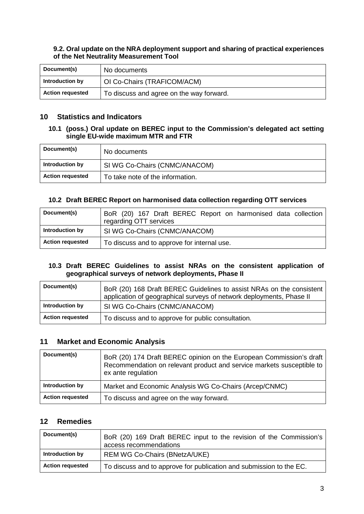#### **9.2. Oral update on the NRA deployment support and sharing of practical experiences of the Net Neutrality Measurement Tool**

| Document(s)             | No documents                             |
|-------------------------|------------------------------------------|
| Introduction by         | OI Co-Chairs (TRAFICOM/ACM)              |
| <b>Action requested</b> | To discuss and agree on the way forward. |

## **10 Statistics and Indicators**

#### **10.1 (poss.) Oral update on BEREC input to the Commission's delegated act setting single EU-wide maximum MTR and FTR**

| Document(s)             | No documents                     |
|-------------------------|----------------------------------|
| Introduction by         | SI WG Co-Chairs (CNMC/ANACOM)    |
| <b>Action requested</b> | To take note of the information. |

## **10.2 Draft BEREC Report on harmonised data collection regarding OTT services**

| Document(s)             | BoR (20) 167 Draft BEREC Report on harmonised data collection<br>regarding OTT services |
|-------------------------|-----------------------------------------------------------------------------------------|
| Introduction by         | SI WG Co-Chairs (CNMC/ANACOM)                                                           |
| <b>Action requested</b> | To discuss and to approve for internal use.                                             |

#### **10.3 Draft BEREC Guidelines to assist NRAs on the consistent application of geographical surveys of network deployments, Phase II**

| Document(s)             | BoR (20) 168 Draft BEREC Guidelines to assist NRAs on the consistent<br>application of geographical surveys of network deployments, Phase II |
|-------------------------|----------------------------------------------------------------------------------------------------------------------------------------------|
| Introduction by         | SI WG Co-Chairs (CNMC/ANACOM)                                                                                                                |
| <b>Action requested</b> | To discuss and to approve for public consultation.                                                                                           |

## **11 Market and Economic Analysis**

| Document(s)             | BoR (20) 174 Draft BEREC opinion on the European Commission's draft<br>Recommendation on relevant product and service markets susceptible to<br>ex ante regulation |
|-------------------------|--------------------------------------------------------------------------------------------------------------------------------------------------------------------|
| Introduction by         | Market and Economic Analysis WG Co-Chairs (Arcep/CNMC)                                                                                                             |
| <b>Action requested</b> | To discuss and agree on the way forward.                                                                                                                           |

# **12 Remedies**

| Document(s)             | BoR (20) 169 Draft BEREC input to the revision of the Commission's<br>access recommendations |
|-------------------------|----------------------------------------------------------------------------------------------|
| Introduction by         | <b>REM WG Co-Chairs (BNetzA/UKE)</b>                                                         |
| <b>Action requested</b> | To discuss and to approve for publication and submission to the EC.                          |